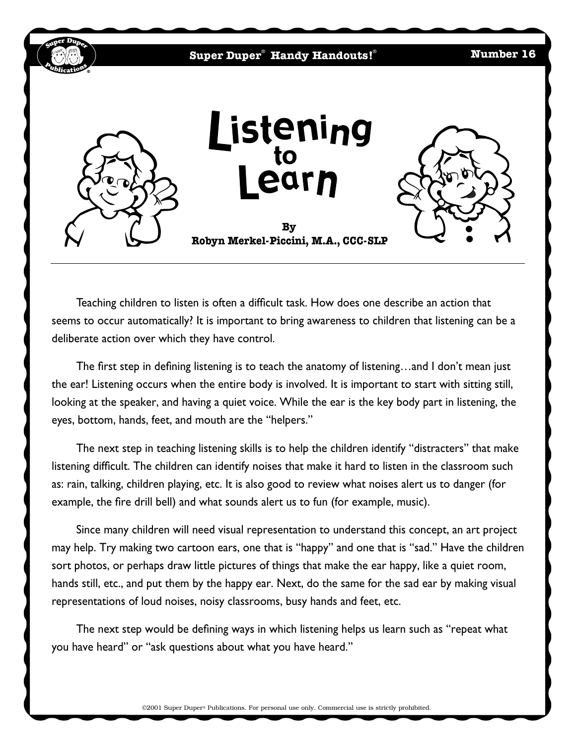

Teaching children to listen is often a difficult task. How does one describe an action that seems to occur automatically? It is important to bring awareness to children that listening can be a deliberate action over which they have control.

The first step in defining listening is to teach the anatomy of listening…and I don't mean just the ear! Listening occurs when the entire body is involved. It is important to start with sitting still, looking at the speaker, and having a quiet voice. While the ear is the key body part in listening, the eyes, bottom, hands, feet, and mouth are the "helpers."

The next step in teaching listening skills is to help the children identify "distracters" that make listening difficult. The children can identify noises that make it hard to listen in the classroom such as: rain, talking, children playing, etc. It is also good to review what noises alert us to danger (for example, the fire drill bell) and what sounds alert us to fun (for example, music).

Since many children will need visual representation to understand this concept, an art project may help. Try making two cartoon ears, one that is "happy" and one that is "sad." Have the children sort photos, or perhaps draw little pictures of things that make the ear happy, like a quiet room, hands still, etc., and put them by the happy ear. Next, do the same for the sad ear by making visual representations of loud noises, noisy classrooms, busy hands and feet, etc.

The next step would be defining ways in which listening helps us learn such as "repeat what you have heard" or "ask questions about what you have heard."